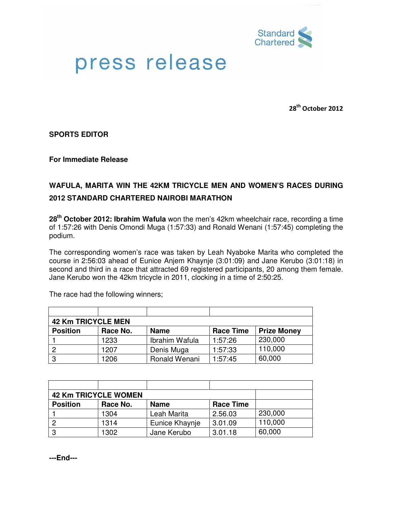

## press release

28<sup>th</sup> October 2012

**SPORTS EDITOR** 

**For Immediate Release** 

## **WAFULA, MARITA WIN THE 42KM TRICYCLE MEN AND WOMEN'S RACES DURING 2012 STANDARD CHARTERED NAIROBI MARATHON**

**28th October 2012: Ibrahim Wafula** won the men's 42km wheelchair race, recording a time of 1:57:26 with Denis Omondi Muga (1:57:33) and Ronald Wenani (1:57:45) completing the podium.

The corresponding women's race was taken by Leah Nyaboke Marita who completed the course in 2:56:03 ahead of Eunice Anjem Khaynje (3:01:09) and Jane Kerubo (3:01:18) in second and third in a race that attracted 69 registered participants, 20 among them female. Jane Kerubo won the 42km tricycle in 2011, clocking in a time of 2:50:25.

The race had the following winners;

| <b>42 Km TRICYCLE MEN</b> |          |                |                  |                    |  |  |
|---------------------------|----------|----------------|------------------|--------------------|--|--|
| <b>Position</b>           | Race No. | <b>Name</b>    | <b>Race Time</b> | <b>Prize Money</b> |  |  |
|                           | 1233     | Ibrahim Wafula | 1:57:26          | 230,000            |  |  |
| $\overline{c}$            | 1207     | Denis Muga     | 1:57:33          | 110,000            |  |  |
| -3                        | 1206     | Ronald Wenani  | 1:57:45          | 60,000             |  |  |

| <b>42 Km TRICYCLE WOMEN</b> |          |                |                  |         |
|-----------------------------|----------|----------------|------------------|---------|
| <b>Position</b>             | Race No. | <b>Name</b>    | <b>Race Time</b> |         |
|                             | 1304     | Leah Marita    | 2.56.03          | 230,000 |
|                             | 1314     | Eunice Khaynje | 3.01.09          | 110,000 |
| 3                           | 1302     | Jane Kerubo    | 3.01.18          | 60,000  |

**---End---**